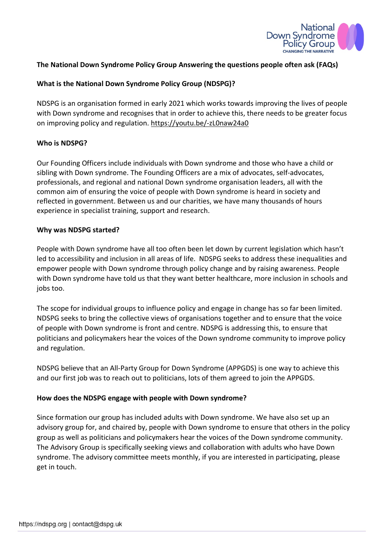

### The National Down Syndrome Policy Group Answering the questions people often ask (FAQs)

### What is the National Down Syndrome Policy Group (NDSPG)?

NDSPG is an organisation formed in early 2021 which works towards improving the lives of people with Down syndrome and recognises that in order to achieve this, there needs to be greater focus on improving policy and regulation. https://youtu.be/-zL0naw24a0

#### Who is NDSPG?

Our Founding Officers include individuals with Down syndrome and those who have a child or sibling with Down syndrome. The Founding Officers are a mix of advocates, self-advocates, professionals, and regional and national Down syndrome organisation leaders, all with the common aim of ensuring the voice of people with Down syndrome is heard in society and reflected in government. Between us and our charities, we have many thousands of hours experience in specialist training, support and research.

#### Why was NDSPG started?

People with Down syndrome have all too often been let down by current legislation which hasn't led to accessibility and inclusion in all areas of life. NDSPG seeks to address these inequalities and empower people with Down syndrome through policy change and by raising awareness. People with Down syndrome have told us that they want better healthcare, more inclusion in schools and jobs too.

The scope for individual groups to influence policy and engage in change has so far been limited. NDSPG seeks to bring the collective views of organisations together and to ensure that the voice of people with Down syndrome is front and centre. NDSPG is addressing this, to ensure that politicians and policymakers hear the voices of the Down syndrome community to improve policy and regulation.

NDSPG believe that an All-Party Group for Down Syndrome (APPGDS) is one way to achieve this and our first job was to reach out to politicians, lots of them agreed to join the APPGDS.

#### How does the NDSPG engage with people with Down syndrome?

Since formation our group has included adults with Down syndrome. We have also set up an advisory group for, and chaired by, people with Down syndrome to ensure that others in the policy group as well as politicians and policymakers hear the voices of the Down syndrome community. The Advisory Group is specifically seeking views and collaboration with adults who have Down syndrome. The advisory committee meets monthly, if you are interested in participating, please get in touch.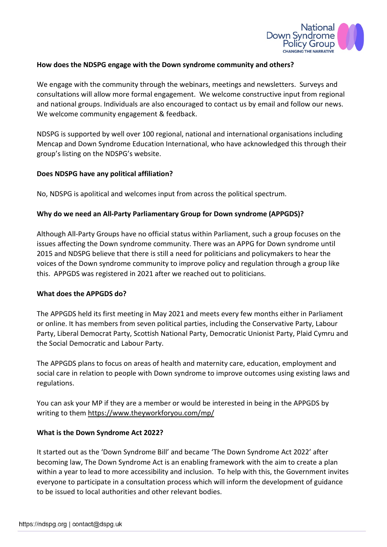

### How does the NDSPG engage with the Down syndrome community and others?

We engage with the community through the webinars, meetings and newsletters. Surveys and consultations will allow more formal engagement. We welcome constructive input from regional and national groups. Individuals are also encouraged to contact us by email and follow our news. We welcome community engagement & feedback.

NDSPG is supported by well over 100 regional, national and international organisations including Mencap and Down Syndrome Education International, who have acknowledged this through their group's listing on the NDSPG's website.

#### Does NDSPG have any political affiliation?

No, NDSPG is apolitical and welcomes input from across the political spectrum.

#### Why do we need an All-Party Parliamentary Group for Down syndrome (APPGDS)?

Although All-Party Groups have no official status within Parliament, such a group focuses on the issues affecting the Down syndrome community. There was an APPG for Down syndrome until 2015 and NDSPG believe that there is still a need for politicians and policymakers to hear the voices of the Down syndrome community to improve policy and regulation through a group like this. APPGDS was registered in 2021 after we reached out to politicians.

#### What does the APPGDS do?

The APPGDS held its first meeting in May 2021 and meets every few months either in Parliament or online. It has members from seven political parties, including the Conservative Party, Labour Party, Liberal Democrat Party, Scottish National Party, Democratic Unionist Party, Plaid Cymru and the Social Democratic and Labour Party.

The APPGDS plans to focus on areas of health and maternity care, education, employment and social care in relation to people with Down syndrome to improve outcomes using existing laws and regulations.

You can ask your MP if they are a member or would be interested in being in the APPGDS by writing to them https://www.theyworkforyou.com/mp/

#### What is the Down Syndrome Act 2022?

It started out as the 'Down Syndrome Bill' and became 'The Down Syndrome Act 2022' after becoming law, The Down Syndrome Act is an enabling framework with the aim to create a plan within a year to lead to more accessibility and inclusion. To help with this, the Government invites everyone to participate in a consultation process which will inform the development of guidance to be issued to local authorities and other relevant bodies.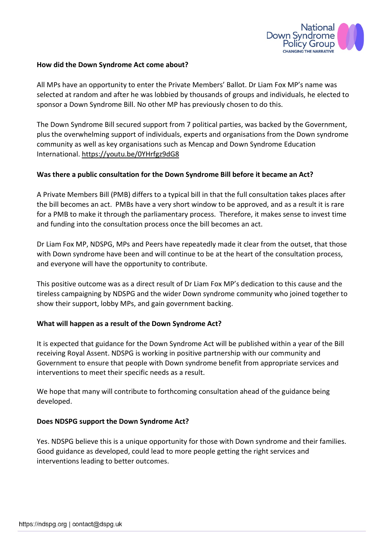

### How did the Down Syndrome Act come about?

All MPs have an opportunity to enter the Private Members' Ballot. Dr Liam Fox MP's name was selected at random and after he was lobbied by thousands of groups and individuals, he elected to sponsor a Down Syndrome Bill. No other MP has previously chosen to do this.

The Down Syndrome Bill secured support from 7 political parties, was backed by the Government, plus the overwhelming support of individuals, experts and organisations from the Down syndrome community as well as key organisations such as Mencap and Down Syndrome Education International. https://youtu.be/0YHrfgz9dG8

### Was there a public consultation for the Down Syndrome Bill before it became an Act?

A Private Members Bill (PMB) differs to a typical bill in that the full consultation takes places after the bill becomes an act. PMBs have a very short window to be approved, and as a result it is rare for a PMB to make it through the parliamentary process. Therefore, it makes sense to invest time and funding into the consultation process once the bill becomes an act.

Dr Liam Fox MP, NDSPG, MPs and Peers have repeatedly made it clear from the outset, that those with Down syndrome have been and will continue to be at the heart of the consultation process, and everyone will have the opportunity to contribute.

This positive outcome was as a direct result of Dr Liam Fox MP's dedication to this cause and the tireless campaigning by NDSPG and the wider Down syndrome community who joined together to show their support, lobby MPs, and gain government backing.

#### What will happen as a result of the Down Syndrome Act?

It is expected that guidance for the Down Syndrome Act will be published within a year of the Bill receiving Royal Assent. NDSPG is working in positive partnership with our community and Government to ensure that people with Down syndrome benefit from appropriate services and interventions to meet their specific needs as a result.

We hope that many will contribute to forthcoming consultation ahead of the guidance being developed.

#### Does NDSPG support the Down Syndrome Act?

Yes. NDSPG believe this is a unique opportunity for those with Down syndrome and their families. Good guidance as developed, could lead to more people getting the right services and interventions leading to better outcomes.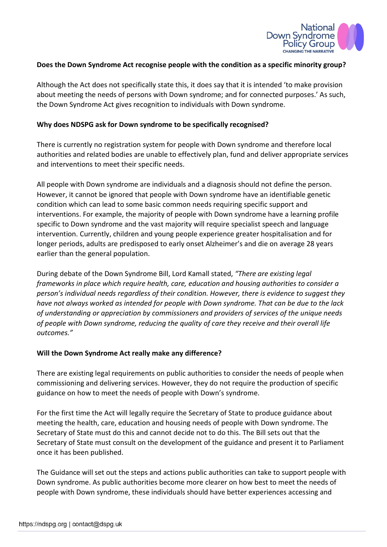

### Does the Down Syndrome Act recognise people with the condition as a specific minority group?

Although the Act does not specifically state this, it does say that it is intended 'to make provision about meeting the needs of persons with Down syndrome; and for connected purposes.' As such, the Down Syndrome Act gives recognition to individuals with Down syndrome.

### Why does NDSPG ask for Down syndrome to be specifically recognised?

There is currently no registration system for people with Down syndrome and therefore local authorities and related bodies are unable to effectively plan, fund and deliver appropriate services and interventions to meet their specific needs.

All people with Down syndrome are individuals and a diagnosis should not define the person. However, it cannot be ignored that people with Down syndrome have an identifiable genetic condition which can lead to some basic common needs requiring specific support and interventions. For example, the majority of people with Down syndrome have a learning profile specific to Down syndrome and the vast majority will require specialist speech and language intervention. Currently, children and young people experience greater hospitalisation and for longer periods, adults are predisposed to early onset Alzheimer's and die on average 28 years earlier than the general population.

During debate of the Down Syndrome Bill, Lord Kamall stated, "There are existing legal frameworks in place which require health, care, education and housing authorities to consider a person's individual needs regardless of their condition. However, there is evidence to suggest they have not always worked as intended for people with Down syndrome. That can be due to the lack of understanding or appreciation by commissioners and providers of services of the unique needs of people with Down syndrome, reducing the quality of care they receive and their overall life outcomes."

#### Will the Down Syndrome Act really make any difference?

There are existing legal requirements on public authorities to consider the needs of people when commissioning and delivering services. However, they do not require the production of specific guidance on how to meet the needs of people with Down's syndrome.

For the first time the Act will legally require the Secretary of State to produce guidance about meeting the health, care, education and housing needs of people with Down syndrome. The Secretary of State must do this and cannot decide not to do this. The Bill sets out that the Secretary of State must consult on the development of the guidance and present it to Parliament once it has been published.

The Guidance will set out the steps and actions public authorities can take to support people with Down syndrome. As public authorities become more clearer on how best to meet the needs of people with Down syndrome, these individuals should have better experiences accessing and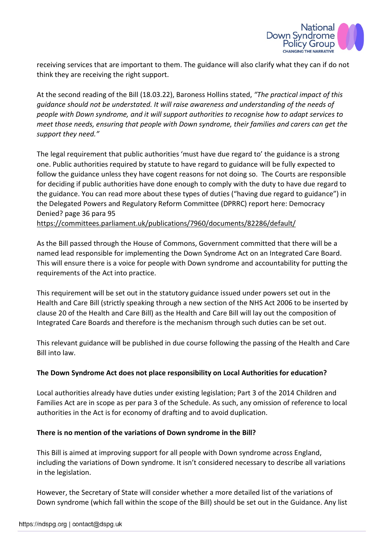

receiving services that are important to them. The guidance will also clarify what they can if do not think they are receiving the right support.

At the second reading of the Bill (18.03.22), Baroness Hollins stated, "The practical impact of this guidance should not be understated. It will raise awareness and understanding of the needs of people with Down syndrome, and it will support authorities to recognise how to adapt services to meet those needs, ensuring that people with Down syndrome, their families and carers can get the support they need."

The legal requirement that public authorities 'must have due regard to' the guidance is a strong one. Public authorities required by statute to have regard to guidance will be fully expected to follow the guidance unless they have cogent reasons for not doing so. The Courts are responsible for deciding if public authorities have done enough to comply with the duty to have due regard to the guidance. You can read more about these types of duties ("having due regard to guidance") in the Delegated Powers and Regulatory Reform Committee (DPRRC) report here: Democracy Denied? page 36 para 95

https://committees.parliament.uk/publications/7960/documents/82286/default/

As the Bill passed through the House of Commons, Government committed that there will be a named lead responsible for implementing the Down Syndrome Act on an Integrated Care Board. This will ensure there is a voice for people with Down syndrome and accountability for putting the requirements of the Act into practice.

This requirement will be set out in the statutory guidance issued under powers set out in the Health and Care Bill (strictly speaking through a new section of the NHS Act 2006 to be inserted by clause 20 of the Health and Care Bill) as the Health and Care Bill will lay out the composition of Integrated Care Boards and therefore is the mechanism through such duties can be set out.

This relevant guidance will be published in due course following the passing of the Health and Care Bill into law.

### The Down Syndrome Act does not place responsibility on Local Authorities for education?

Local authorities already have duties under existing legislation; Part 3 of the 2014 Children and Families Act are in scope as per para 3 of the Schedule. As such, any omission of reference to local authorities in the Act is for economy of drafting and to avoid duplication.

### There is no mention of the variations of Down syndrome in the Bill?

This Bill is aimed at improving support for all people with Down syndrome across England, including the variations of Down syndrome. It isn't considered necessary to describe all variations in the legislation.

However, the Secretary of State will consider whether a more detailed list of the variations of Down syndrome (which fall within the scope of the Bill) should be set out in the Guidance. Any list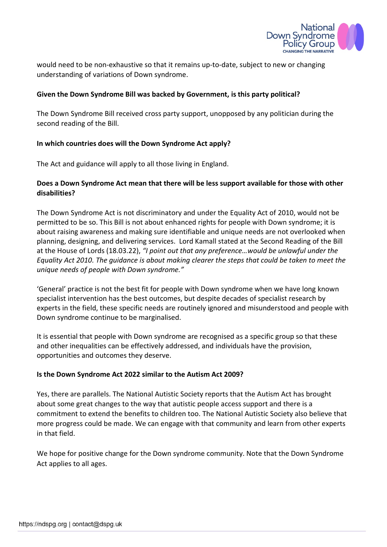

would need to be non-exhaustive so that it remains up-to-date, subject to new or changing understanding of variations of Down syndrome.

### Given the Down Syndrome Bill was backed by Government, is this party political?

The Down Syndrome Bill received cross party support, unopposed by any politician during the second reading of the Bill.

### In which countries does will the Down Syndrome Act apply?

The Act and guidance will apply to all those living in England.

### Does a Down Syndrome Act mean that there will be less support available for those with other disabilities?

The Down Syndrome Act is not discriminatory and under the Equality Act of 2010, would not be permitted to be so. This Bill is not about enhanced rights for people with Down syndrome; it is about raising awareness and making sure identifiable and unique needs are not overlooked when planning, designing, and delivering services. Lord Kamall stated at the Second Reading of the Bill at the House of Lords (18.03.22), "I point out that any preference…would be unlawful under the Equality Act 2010. The guidance is about making clearer the steps that could be taken to meet the unique needs of people with Down syndrome."

'General' practice is not the best fit for people with Down syndrome when we have long known specialist intervention has the best outcomes, but despite decades of specialist research by experts in the field, these specific needs are routinely ignored and misunderstood and people with Down syndrome continue to be marginalised.

It is essential that people with Down syndrome are recognised as a specific group so that these and other inequalities can be effectively addressed, and individuals have the provision, opportunities and outcomes they deserve.

### Is the Down Syndrome Act 2022 similar to the Autism Act 2009?

Yes, there are parallels. The National Autistic Society reports that the Autism Act has brought about some great changes to the way that autistic people access support and there is a commitment to extend the benefits to children too. The National Autistic Society also believe that more progress could be made. We can engage with that community and learn from other experts in that field.

We hope for positive change for the Down syndrome community. Note that the Down Syndrome Act applies to all ages.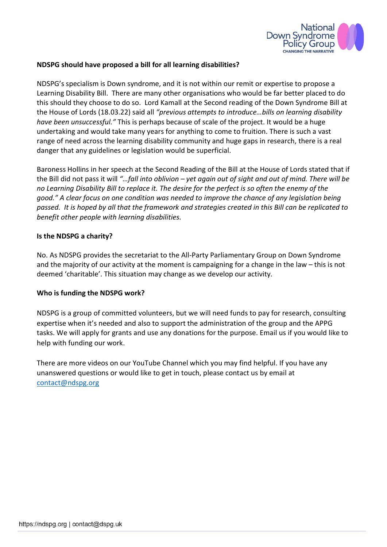

### NDSPG should have proposed a bill for all learning disabilities?

NDSPG's specialism is Down syndrome, and it is not within our remit or expertise to propose a Learning Disability Bill. There are many other organisations who would be far better placed to do this should they choose to do so. Lord Kamall at the Second reading of the Down Syndrome Bill at the House of Lords (18.03.22) said all "previous attempts to introduce…bills on learning disability have been unsuccessful." This is perhaps because of scale of the project. It would be a huge undertaking and would take many years for anything to come to fruition. There is such a vast range of need across the learning disability community and huge gaps in research, there is a real danger that any guidelines or legislation would be superficial.

Baroness Hollins in her speech at the Second Reading of the Bill at the House of Lords stated that if the Bill did not pass it will "…fall into oblivion – yet again out of sight and out of mind. There will be no Learning Disability Bill to replace it. The desire for the perfect is so often the enemy of the good." A clear focus on one condition was needed to improve the chance of any legislation being passed. It is hoped by all that the framework and strategies created in this Bill can be replicated to benefit other people with learning disabilities.

#### Is the NDSPG a charity?

No. As NDSPG provides the secretariat to the All-Party Parliamentary Group on Down Syndrome and the majority of our activity at the moment is campaigning for a change in the law – this is not deemed 'charitable'. This situation may change as we develop our activity.

#### Who is funding the NDSPG work?

NDSPG is a group of committed volunteers, but we will need funds to pay for research, consulting expertise when it's needed and also to support the administration of the group and the APPG tasks. We will apply for grants and use any donations for the purpose. Email us if you would like to help with funding our work.

There are more videos on our YouTube Channel which you may find helpful. If you have any unanswered questions or would like to get in touch, please contact us by email at contact@ndspg.org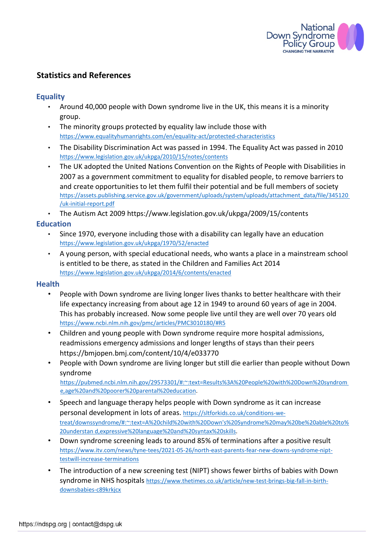

# Statistics and References

## **Equality**

- Around 40,000 people with Down syndrome live in the UK, this means it is a minority group.
- The minority groups protected by equality law include those with https://www.equalityhumanrights.com/en/equality-act/protected-characteristics
- The Disability Discrimination Act was passed in 1994. The Equality Act was passed in 2010 https://www.legislation.gov.uk/ukpga/2010/15/notes/contents
- The UK adopted the United Nations Convention on the Rights of People with Disabilities in 2007 as a government commitment to equality for disabled people, to remove barriers to and create opportunities to let them fulfil their potential and be full members of society https://assets.publishing.service.gov.uk/government/uploads/system/uploads/attachment\_data/file/345120 /uk-initial-report.pdf
- The Autism Act 2009 https://www.legislation.gov.uk/ukpga/2009/15/contents

# **Education**

- Since 1970, everyone including those with a disability can legally have an education https://www.legislation.gov.uk/ukpga/1970/52/enacted
- A young person, with special educational needs, who wants a place in a mainstream school is entitled to be there, as stated in the Children and Families Act 2014 https://www.legislation.gov.uk/ukpga/2014/6/contents/enacted

#### **Health**

- People with Down syndrome are living longer lives thanks to better healthcare with their life expectancy increasing from about age 12 in 1949 to around 60 years of age in 2004. This has probably increased. Now some people live until they are well over 70 years old https://www.ncbi.nlm.nih.gov/pmc/articles/PMC3010180/#R5
- Children and young people with Down syndrome require more hospital admissions, readmissions emergency admissions and longer lengths of stays than their peers https://bmjopen.bmj.com/content/10/4/e033770
- People with Down syndrome are living longer but still die earlier than people without Down syndrome https://pubmed.ncbi.nlm.nih.gov/29573301/#:~:text=Results%3A%20People%20with%20Down%20syndrom e,age%20and%20poorer%20parental%20education.
- Speech and language therapy helps people with Down syndrome as it can increase personal development in lots of areas. https://sltforkids.co.uk/conditions-wetreat/downssyndrome/#:~:text=A%20child%20with%20Down's%20Syndrome%20may%20be%20able%20to% 20understan d,expressive%20language%20and%20syntax%20skills.
- Down syndrome screening leads to around 85% of terminations after a positive result https://www.itv.com/news/tyne-tees/2021-05-26/north-east-parents-fear-new-downs-syndrome-nipttestwill-increase-terminations
- The introduction of a new screening test (NIPT) shows fewer births of babies with Down syndrome in NHS hospitals https://www.thetimes.co.uk/article/new-test-brings-big-fall-in-birthdownsbabies-c89krkjcx